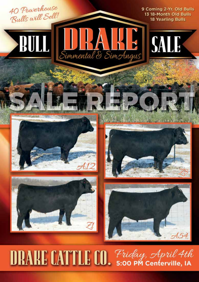

**DRAKE CATTLE CO.** Friday, April 4th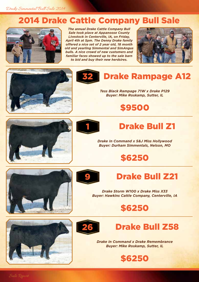#### 2014 Drake Cattle Company Bull Sale



*The annual Drake Cattle Company Bull Sale took place at Appanoose County Livestock in Centerville, IA, on Friday, April 4th at 5pm. The Denny Drake family offered a nice set of 2 year old, 18 month old and yearling Simmental and SimAngus bulls. A nice crowd of new customers and familiar faces showed up to the sale barn to bid and buy their new herdsires.* 









*Tess Black Rampage 71W x Drake P129 Buyer: Mike Roskamp, Sutter, IL*

\$9500





# **Drake Bull Z1**

*Drake In Command x S&J Miss Hollywood Buyer: Durham Simmentals, Nelson, MO*

## \$6250





#### **Drake Bull Z21**

*Drake Storm W100 x Drake Miss X33 Buyer: Hawkins Cattle Company, Centerville, IA*









*Drake In Command x Drake Remembrance Buyer: Mike Roskamp, Sutter, IL*

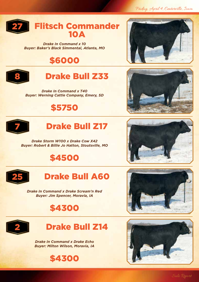Friday, April 4, Centerville, Iowa



*Drake In Command x 10 Buyer: Baker's Black Simmental, Atlanta, MO*

# \$6000



# **Drake Bull Z33**

*Drake In Command x T40 Buyer: Werning Cattle Company, Emery, SD*

#### \$5750



# **Drake Bull Z17**

*Drake Storm W100 x Drake Cow X42 Buyer: Robert & Billie Jo Hatton, Stoutsville, MO*

## \$4500



#### **Drake Bull A60**

*Drake In Command x Drake Scream'n Red Buyer: Jim Spencer, Moravia, IA*

#### \$4300





*Drake In Command x Drake Echo Buyer: Milton Wilson, Moravia, IA*